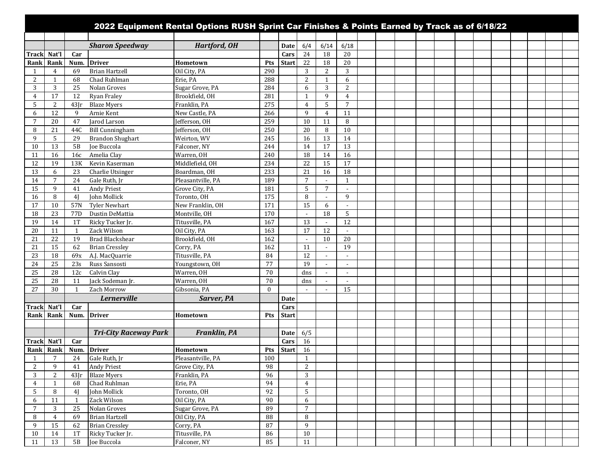|                |                 |                 |                                 | 2022 Equipment Rental Options RUSH Sprint Car Finishes & Points Earned by Track as of 6/18/22 |            |              |                          |                 |                                            |  |  |  |  |  |  |
|----------------|-----------------|-----------------|---------------------------------|-----------------------------------------------------------------------------------------------|------------|--------------|--------------------------|-----------------|--------------------------------------------|--|--|--|--|--|--|
|                |                 |                 |                                 |                                                                                               |            |              |                          |                 |                                            |  |  |  |  |  |  |
|                |                 |                 | <b>Sharon Speedway</b>          | <b>Hartford, OH</b>                                                                           |            | <b>Date</b>  | 6/4                      | 6/14            | 6/18                                       |  |  |  |  |  |  |
| <b>Track</b>   | Nat'l           | Car             |                                 |                                                                                               |            | Cars         | 24                       | 18              | 20                                         |  |  |  |  |  |  |
| Rank           | Rank            | Num.            | <b>Driver</b>                   | Hometown                                                                                      | Pts        | <b>Start</b> | 22                       | 18              | 20                                         |  |  |  |  |  |  |
| $\mathbf{1}$   | 4               | 69              | <b>Brian Hartzell</b>           | Oil City, PA                                                                                  | 290        |              | 3                        | 2               | 3                                          |  |  |  |  |  |  |
| 2              | 1               | 68              | Chad Ruhlman                    | Erie, PA                                                                                      | 288        |              | 2                        | $\mathbf{1}$    | 6                                          |  |  |  |  |  |  |
| 3              | 3               | 25              | Nolan Groves                    | Sugar Grove, PA                                                                               | 284        |              | 6                        | 3               | $\overline{2}$                             |  |  |  |  |  |  |
| $\overline{4}$ | 17              | 12              | Ryan Fraley                     | Brookfield, OH                                                                                | 281        |              | $\mathbf{1}$             | 9               | $\overline{4}$                             |  |  |  |  |  |  |
| 5              | 2               | $43$ Jr         | <b>Blaze Myers</b>              | Franklin, PA                                                                                  | 275        |              | $\overline{4}$           | 5               | $7\phantom{.0}$                            |  |  |  |  |  |  |
| 6              | 12              | 9               | Arnie Kent                      | New Castle, PA                                                                                | 266        |              | 9                        | 4               | 11                                         |  |  |  |  |  |  |
| $\overline{7}$ | 20              | 47              | Jarod Larson                    | Jefferson, OH                                                                                 | 259        |              | 10                       | 11              | 8                                          |  |  |  |  |  |  |
| 8              | 21              | 44C             | <b>Bill Cunningham</b>          | Jefferson, OH                                                                                 | 250        |              | 20                       | 8               | 10                                         |  |  |  |  |  |  |
| 9              | 5               | 29              | <b>Brandon Shughart</b>         | Weirton, WV                                                                                   | 245        |              | 16                       | $\overline{13}$ | 14                                         |  |  |  |  |  |  |
| 10             | 13              | 5B              | <b>Joe Buccola</b>              | Falconer, NY                                                                                  | 244        |              | 14                       | 17              | 13                                         |  |  |  |  |  |  |
| 11             | 16              | 16c             | Amelia Clay                     | Warren, OH                                                                                    | 240        |              | 18                       | 14              | 16                                         |  |  |  |  |  |  |
| 12             | 19              | 13K             | Kevin Kaserman                  | Middlefield, OH                                                                               | 234        |              | 22                       | 15              | 17                                         |  |  |  |  |  |  |
| 13             | 6               | 23              | Charlie Utsinger                | Boardman, OH                                                                                  | 233        |              | 21                       | 16              | 18                                         |  |  |  |  |  |  |
| 14             | 7               | 24              | Gale Ruth, Jr                   | Pleasantville, PA                                                                             | 189        |              | $7\overline{ }$          | $\sim$          | $\mathbf{1}$                               |  |  |  |  |  |  |
| 15             | 9               | 41              | <b>Andy Priest</b>              | Grove City, PA                                                                                | 181        |              | 5                        | 7               | $\overline{\phantom{a}}$                   |  |  |  |  |  |  |
| 16             | 8               | 4 <sub>l</sub>  | John Mollick                    | Toronto, OH                                                                                   | 175        |              | 8                        |                 | 9                                          |  |  |  |  |  |  |
| 17             | 10              | 57N             | <b>Tyler Newhart</b>            | New Franklin, OH                                                                              | 171        |              | 15                       | 6               | $\sim$                                     |  |  |  |  |  |  |
| 18             | 23              | 77 <sub>D</sub> | Dustin DeMattia                 | Montville, OH                                                                                 | 170        |              | $\sim$                   | 18              | 5                                          |  |  |  |  |  |  |
| 19             | 14              | 1T              | Ricky Tucker Jr.                | Titusville, PA                                                                                | 167        |              | 13                       |                 | 12                                         |  |  |  |  |  |  |
| 20             | 11<br>22        | 1               | Zack Wilson                     | Oil City, PA                                                                                  | 163<br>162 |              | 17                       | 12<br>10        | $\overline{\phantom{a}}$                   |  |  |  |  |  |  |
| 21             |                 | 19              | <b>Brad Blackshear</b>          | Brookfield, OH                                                                                | 162        |              | $\overline{\phantom{a}}$ |                 | 20                                         |  |  |  |  |  |  |
| 21             | 15              | 62              | <b>Brian Cressley</b>           | Corry, PA                                                                                     |            |              | 11<br>12                 | $\sim$          | 19                                         |  |  |  |  |  |  |
| 23<br>24       | 18<br>25        | 69x<br>23s      | A.J. MacQuarrie                 | Titusville, PA                                                                                | 84<br>77   |              | 19                       |                 | $\blacksquare$                             |  |  |  |  |  |  |
| 25             | 28              |                 | Russ Sansosti<br>Calvin Clay    | Youngstown, OH<br>Warren, OH                                                                  | 70         |              |                          |                 | $\blacksquare$                             |  |  |  |  |  |  |
| 25             | 28              | 12c<br>11       |                                 | Warren, OH                                                                                    | 70         |              | dns<br>dns               | $\sim$          | $\overline{\phantom{a}}$<br>$\blacksquare$ |  |  |  |  |  |  |
| 27             | 30              | 1               | Jack Sodeman Jr.<br>Zach Morrow | Gibsonia, PA                                                                                  | $\theta$   |              | $\overline{\phantom{a}}$ |                 | 15                                         |  |  |  |  |  |  |
|                |                 |                 |                                 |                                                                                               |            |              |                          |                 |                                            |  |  |  |  |  |  |
|                |                 |                 | Lernerville                     | Sarver, PA                                                                                    |            | <b>Date</b>  |                          |                 |                                            |  |  |  |  |  |  |
| <b>Track</b>   | Nat'l           | Car             |                                 |                                                                                               |            | Cars         |                          |                 |                                            |  |  |  |  |  |  |
| Rank           | Rank            | Num.            | <b>Driver</b>                   | Hometown                                                                                      | Pts        | <b>Start</b> |                          |                 |                                            |  |  |  |  |  |  |
|                |                 |                 |                                 |                                                                                               |            |              |                          |                 |                                            |  |  |  |  |  |  |
|                |                 |                 | <b>Tri-City Raceway Park</b>    | <b>Franklin, PA</b>                                                                           |            | Date         | 6/5                      |                 |                                            |  |  |  |  |  |  |
| Trackl         | Nat'l           | Car             |                                 |                                                                                               |            | Cars         | 16                       |                 |                                            |  |  |  |  |  |  |
| Rank           | Rank            | Num.            | <b>Driver</b>                   | Hometown                                                                                      | Pts        | <b>Start</b> | 16                       |                 |                                            |  |  |  |  |  |  |
| $\mathbf{1}$   | $7\overline{ }$ | 24              | Gale Ruth, Jr                   | Pleasantville, PA                                                                             | 100        |              | $\mathbf{1}$             |                 |                                            |  |  |  |  |  |  |
| 2              | 9               | 41              | <b>Andy Priest</b>              | Grove City, PA                                                                                | 98         |              | 2                        |                 |                                            |  |  |  |  |  |  |
| 3              | 2               | $43$ Jr         | <b>Blaze Myers</b>              | Franklin, PA                                                                                  | 96         |              | 3                        |                 |                                            |  |  |  |  |  |  |
| 4              | 1               | 68              | Chad Ruhlman                    | Erie, PA                                                                                      | 94         |              | $\overline{4}$           |                 |                                            |  |  |  |  |  |  |
| 5              | 8               | 4 <sup>1</sup>  | John Mollick                    | Toronto, OH                                                                                   | 92         |              | 5                        |                 |                                            |  |  |  |  |  |  |
| 6              | 11              | 1               | Zack Wilson                     | Oil City, PA                                                                                  | 90         |              | 6                        |                 |                                            |  |  |  |  |  |  |
| 7              | 3               | 25              | Nolan Groves                    | Sugar Grove, PA                                                                               | 89         |              | $\overline{7}$           |                 |                                            |  |  |  |  |  |  |
| 8              | $\overline{4}$  | 69              | <b>Brian Hartzell</b>           | Oil City, PA                                                                                  | 88         |              | 8                        |                 |                                            |  |  |  |  |  |  |
| 9              | 15              | 62              | <b>Brian Cressley</b>           | Corry, PA                                                                                     | 87         |              | $\overline{9}$           |                 |                                            |  |  |  |  |  |  |
| 10             | 14              | 1T              | Ricky Tucker Jr.                | Titusville, PA                                                                                | 86         |              | 10                       |                 |                                            |  |  |  |  |  |  |
| 11             | 13              | 5B              | Joe Buccola                     | Falconer, NY                                                                                  | 85         |              | 11                       |                 |                                            |  |  |  |  |  |  |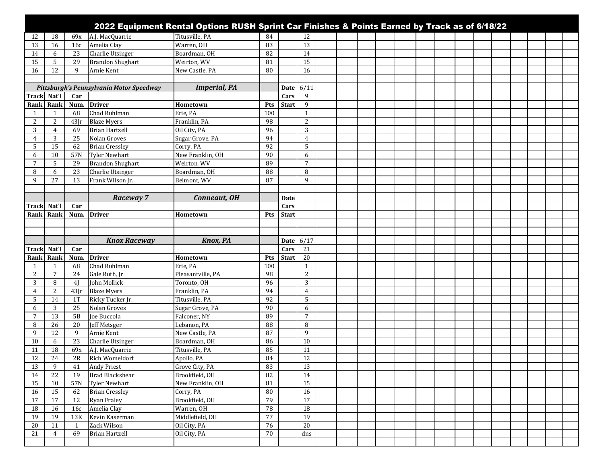|                      |                     |                |                                          | 2022 Equipment Rental Options RUSH Sprint Car Finishes & Points Earned by Track as of 6/18/22 |              |              |                       |  |  |  |  |  |  |  |
|----------------------|---------------------|----------------|------------------------------------------|-----------------------------------------------------------------------------------------------|--------------|--------------|-----------------------|--|--|--|--|--|--|--|
| 12                   | 18                  | 69x            | A.J. MacQuarrie                          | Titusville, PA                                                                                | 84           |              | 12                    |  |  |  |  |  |  |  |
| 13                   | 16                  | 16c            | Amelia Clay                              | Warren, OH                                                                                    | 83           |              | 13                    |  |  |  |  |  |  |  |
| 14                   | 6                   | 23             | <b>Charlie Utsinger</b>                  | Boardman, OH                                                                                  | 82           |              | 14                    |  |  |  |  |  |  |  |
| 15                   | 5                   | 29             | <b>Brandon Shughart</b>                  | Weirton, WV                                                                                   | 81           |              | 15                    |  |  |  |  |  |  |  |
| 16                   | 12                  | 9              | Arnie Kent                               | New Castle, PA                                                                                | 80           |              | 16                    |  |  |  |  |  |  |  |
|                      |                     |                |                                          |                                                                                               |              |              |                       |  |  |  |  |  |  |  |
|                      |                     |                | Pittsburgh's Pennsylvania Motor Speedway | <b>Imperial, PA</b>                                                                           |              | <b>Date</b>  | 6/11                  |  |  |  |  |  |  |  |
| Track Nat'l          |                     | Car            |                                          |                                                                                               |              | Cars         | 9                     |  |  |  |  |  |  |  |
|                      | Rank Rank           | <b>Num</b>     | <b>Driver</b>                            | Hometown                                                                                      | Pts          | <b>Start</b> | 9                     |  |  |  |  |  |  |  |
|                      | 1                   | 68             | Chad Ruhlman                             | Erie, PA                                                                                      | 100          |              | $\mathbf{1}$          |  |  |  |  |  |  |  |
| 2                    | 2                   | $43$ Jr        | <b>Blaze Myers</b>                       | Franklin, PA                                                                                  | 98           |              | 2                     |  |  |  |  |  |  |  |
| 3                    | $\overline{4}$      | 69             | <b>Brian Hartzell</b>                    | Oil City, PA                                                                                  | 96           |              | 3                     |  |  |  |  |  |  |  |
| 4                    | 3                   | 25             | Nolan Groves                             | Sugar Grove, PA                                                                               | 94           |              | $\overline{4}$        |  |  |  |  |  |  |  |
| 5                    | 15                  | 62             | <b>Brian Cressley</b>                    | Corry, PA                                                                                     | 92           |              | 5                     |  |  |  |  |  |  |  |
| 6                    | 10                  | 57N            | <b>Tyler Newhart</b>                     | New Franklin, OH                                                                              | 90           |              | 6                     |  |  |  |  |  |  |  |
| 7                    | 5                   | 29             | <b>Brandon Shughart</b>                  | Weirton, WV                                                                                   | 89           |              | $\overline{7}$        |  |  |  |  |  |  |  |
| 8                    | 6                   | 23             | Charlie Utsinger                         | Boardman, OH                                                                                  | 88           |              | 8                     |  |  |  |  |  |  |  |
| 9                    | 27                  | 13             | Frank Wilson Jr.                         | Belmont, WV                                                                                   | 87           |              | 9                     |  |  |  |  |  |  |  |
|                      |                     |                |                                          |                                                                                               |              |              |                       |  |  |  |  |  |  |  |
|                      |                     |                | Raceway 7                                | Conneaut, OH                                                                                  |              | <b>Date</b>  |                       |  |  |  |  |  |  |  |
| <b>Track</b>         | Nat'l               | Car            |                                          |                                                                                               |              | Cars         |                       |  |  |  |  |  |  |  |
|                      | Rank Rank           | Num.           | <b>Driver</b>                            | Hometown                                                                                      | Pts          | <b>Start</b> |                       |  |  |  |  |  |  |  |
|                      |                     |                |                                          |                                                                                               |              |              |                       |  |  |  |  |  |  |  |
|                      |                     |                |                                          |                                                                                               |              |              |                       |  |  |  |  |  |  |  |
|                      |                     |                |                                          |                                                                                               |              |              |                       |  |  |  |  |  |  |  |
|                      |                     |                |                                          |                                                                                               |              |              |                       |  |  |  |  |  |  |  |
|                      |                     |                | <b>Knox Raceway</b>                      | <b>Knox, PA</b>                                                                               |              | <b>Date</b>  | 6/17                  |  |  |  |  |  |  |  |
| <b>Track</b>         | Nat'l               | Car            |                                          |                                                                                               |              | Cars         | 21                    |  |  |  |  |  |  |  |
| Rank<br>$\mathbf{1}$ | Rank                | Num.           | <b>Driver</b>                            | Hometown                                                                                      | Pts          | <b>Start</b> | 20                    |  |  |  |  |  |  |  |
|                      | 1<br>$\overline{7}$ | 68             | Chad Ruhlman                             | Erie, PA                                                                                      | 100<br>98    |              | $\mathbf{1}$<br>2     |  |  |  |  |  |  |  |
| 2                    |                     | 24             | Gale Ruth, Jr                            | Pleasantville, PA                                                                             |              |              |                       |  |  |  |  |  |  |  |
| 3                    | 8                   | 4 <sub>l</sub> | John Mollick                             | Toronto, OH                                                                                   | 96           |              | 3                     |  |  |  |  |  |  |  |
| 4<br>5               | 2                   | 43[r           | <b>Blaze Myers</b>                       | Franklin, PA                                                                                  | 94<br>92     |              | $\overline{4}$        |  |  |  |  |  |  |  |
|                      | 14                  | 1T             | Ricky Tucker Jr.                         | Titusville, PA                                                                                |              |              | 5                     |  |  |  |  |  |  |  |
| 6<br>7               | 3<br>13             | 25<br>5B       | Nolan Groves                             | Sugar Grove, PA                                                                               | 90<br>89     |              | 6<br>$\overline{7}$   |  |  |  |  |  |  |  |
| 8                    |                     |                | Joe Buccola                              | Falconer, NY                                                                                  | 88           |              | 8                     |  |  |  |  |  |  |  |
| 9                    | 26                  | 20<br>9        | <b>Jeff Metsger</b>                      | Lebanon, PA                                                                                   |              |              | 9                     |  |  |  |  |  |  |  |
| 10                   | 12<br>6             | 23             | Arnie Kent                               | New Castle, PA                                                                                | 87<br>86     |              | 10                    |  |  |  |  |  |  |  |
| 11                   | 18                  | 69x            | <b>Charlie Utsinger</b>                  | Boardman, OH<br>Titusville, PA                                                                | 85           |              | 11                    |  |  |  |  |  |  |  |
|                      |                     |                | A.J. MacQuarrie                          |                                                                                               |              |              |                       |  |  |  |  |  |  |  |
| 12                   | 24                  | $2\mathrm{R}$  | <b>Rich Womeldorf</b>                    | Apollo, PA                                                                                    | 84           |              | 12                    |  |  |  |  |  |  |  |
| 13                   | 9                   | 41<br>19       | <b>Andy Priest</b>                       | Grove City, PA                                                                                | 83<br>82     |              | 13<br>14              |  |  |  |  |  |  |  |
| 14                   | 22                  |                | <b>Brad Blackshear</b>                   | Brookfield, OH                                                                                |              |              |                       |  |  |  |  |  |  |  |
| 15                   | 10                  | 57N<br>62      | Tyler Newhart                            | New Franklin, OH                                                                              | 81           |              | 15                    |  |  |  |  |  |  |  |
| 16                   | 15<br>17            | 12             | <b>Brian Cressley</b>                    | Corry, PA                                                                                     | 80<br>79     |              | 16<br>17              |  |  |  |  |  |  |  |
| 17                   |                     |                | <b>Ryan Fraley</b>                       | Brookfield, OH                                                                                |              |              |                       |  |  |  |  |  |  |  |
| 18                   | 16                  | 16c            | Amelia Clay                              | Warren, OH                                                                                    | 78           |              | 18                    |  |  |  |  |  |  |  |
| 19                   | 19<br>11            | 13K<br>1       | Kevin Kaserman                           | Middlefield, OH                                                                               | $77\,$<br>76 |              | 19<br>$\overline{20}$ |  |  |  |  |  |  |  |
| 20<br>21             | $\overline{4}$      | 69             | Zack Wilson<br><b>Brian Hartzell</b>     | Oil City, PA<br>Oil City, PA                                                                  | 70           |              | dns                   |  |  |  |  |  |  |  |